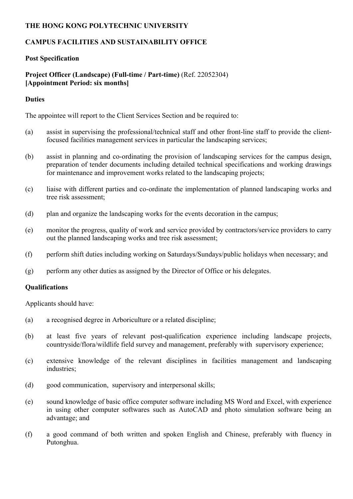### **THE HONG KONG POLYTECHNIC UNIVERSITY**

## **CAMPUS FACILITIES AND SUSTAINABILITY OFFICE**

#### **Post Specification**

## **Project Officer (Landscape) (Full-time / Part-time)** (Ref. 22052304) **[Appointment Period: six months]**

#### **Duties**

The appointee will report to the Client Services Section and be required to:

- (a) assist in supervising the professional/technical staff and other front-line staff to provide the clientfocused facilities management services in particular the landscaping services;
- (b) assist in planning and co-ordinating the provision of landscaping services for the campus design, preparation of tender documents including detailed technical specifications and working drawings for maintenance and improvement works related to the landscaping projects;
- (c) liaise with different parties and co-ordinate the implementation of planned landscaping works and tree risk assessment;
- (d) plan and organize the landscaping works for the events decoration in the campus;
- (e) monitor the progress, quality of work and service provided by contractors/service providers to carry out the planned landscaping works and tree risk assessment;
- (f) perform shift duties including working on Saturdays/Sundays/public holidays when necessary; and
- (g) perform any other duties as assigned by the Director of Office or his delegates.

#### **Qualifications**

Applicants should have:

- (a) a recognised degree in Arboriculture or a related discipline;
- (b) at least five years of relevant post-qualification experience including landscape projects, countryside/flora/wildlife field survey and management, preferably with supervisory experience;
- (c) extensive knowledge of the relevant disciplines in facilities management and landscaping industries;
- (d) good communication, supervisory and interpersonal skills;
- (e) sound knowledge of basic office computer software including MS Word and Excel, with experience in using other computer softwares such as AutoCAD and photo simulation software being an advantage; and
- (f) a good command of both written and spoken English and Chinese, preferably with fluency in Putonghua.